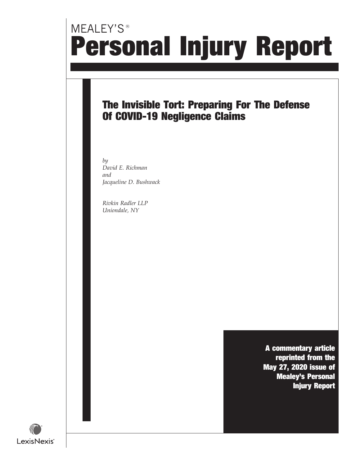# MEALEY'S<sup>®</sup> Personal Injury Report

### The Invisible Tort: Preparing For The Defense Of COVID-19 Negligence Claims

by David E. Richman and Jacqueline D. Bushwack

Rivkin Radler LLP Uniondale, NY

> A commentary article reprinted from the May 27, 2020 issue of Mealey's Personal Injury Report

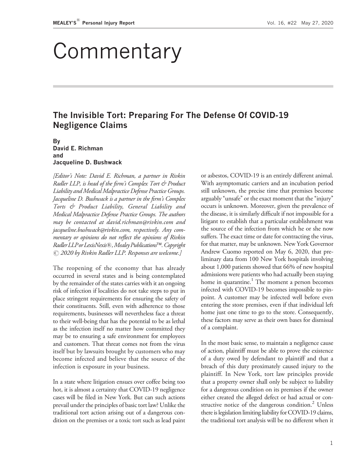# Commentary

### The Invisible Tort: Preparing For The Defense Of COVID-19 Negligence Claims

#### By David E. Richman and Jacqueline D. Bushwack

[Editor's Note: David E. Richman, a partner in Rivkin Radler LLP, is head of the firm's Complex Tort & Product Liability and Medical Malpractice Defense Practice Groups. Jacqueline D. Bushwack is a partner in the firm's Complex Torts & Product Liability, General Liability and Medical Malpractice Defense Practice Groups. The authors may be contacted at [david.richman@rivkin.com](mailto:david.richman@rivkin.com) and [jacqueline.bushwack@rivkin.com](mailto:jacqueline.bushwack@rivkin.com), respectively. Any commentary or opinions do not reflect the opinions of Rivkin Radler LLP or LexisNexis®, Mealey Publications™. Copyright  $\odot$  2020 by Rivkin Radler LLP. Responses are welcome.]

The reopening of the economy that has already occurred in several states and is being contemplated by the remainder of the states carries with it an ongoing risk of infection if localities do not take steps to put in place stringent requirements for ensuring the safety of their constituents. Still, even with adherence to those requirements, businesses will nevertheless face a threat to their well-being that has the potential to be as lethal as the infection itself no matter how committed they may be to ensuring a safe environment for employees and customers. That threat comes not from the virus itself but by lawsuits brought by customers who may become infected and believe that the source of the infection is exposure in your business.

In a state where litigation ensues over coffee being too hot, it is almost a certainty that COVID-19 negligence cases will be filed in New York. But can such actions prevail under the principles of basic tort law? Unlike the traditional tort action arising out of a dangerous condition on the premises or a toxic tort such as lead paint or asbestos, COVID-19 is an entirely different animal. With asymptomatic carriers and an incubation period still unknown, the precise time that premises become arguably "unsafe" or the exact moment that the "injury" occurs is unknown. Moreover, given the prevalence of the disease, it is similarly difficult if not impossible for a litigant to establish that a particular establishment was the source of the infection from which he or she now suffers. The exact time or date for contracting the virus, for that matter, may be unknown. New York Governor Andrew Cuomo reported on May 6, 2020, that preliminary data from 100 New York hospitals involving about 1,000 patients showed that 66% of new hospital admissions were patients who had actually been staying home in quarantine.<sup>1</sup> The moment a person becomes infected with COVID-19 becomes impossible to pinpoint. A customer may be infected well before even entering the store premises, even if that individual left home just one time to go to the store. Consequently, these factors may serve as their own bases for dismissal of a complaint.

In the most basic sense, to maintain a negligence cause of action, plaintiff must be able to prove the existence of a duty owed by defendant to plaintiff and that a breach of this duty proximately caused injury to the plaintiff. In New York, tort law principles provide that a property owner shall only be subject to liability for a dangerous condition on its premises if the owner either created the alleged defect or had actual or constructive notice of the dangerous condition.<sup>2</sup> Unless there is legislation limiting liability for COVID-19 claims, the traditional tort analysis will be no different when it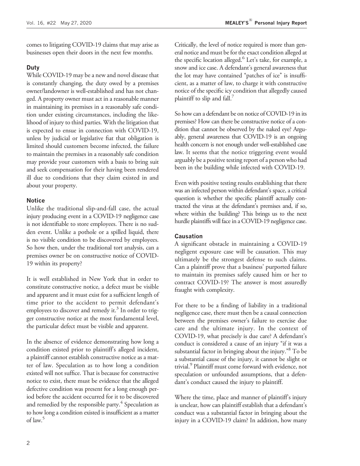comes to litigating COVID-19 claims that may arise as businesses open their doors in the next few months.

#### Duty

While COVID-19 may be a new and novel disease that is constantly changing, the duty owed by a premises owner/landowner is well-established and has not changed. A property owner must act in a reasonable manner in maintaining its premises in a reasonably safe condition under existing circumstances, including the likelihood of injury to third parties. With the litigation that is expected to ensue in connection with COVID-19, unless by judicial or legislative fiat that obligation is limited should customers become infected, the failure to maintain the premises in a reasonably safe condition may provide your customers with a basis to bring suit and seek compensation for their having been rendered ill due to conditions that they claim existed in and about your property.

#### **Notice**

Unlike the traditional slip-and-fall case, the actual injury producing event in a COVID-19 negligence case is not identifiable to store employees. There is no sudden event. Unlike a pothole or a spilled liquid, there is no visible condition to be discovered by employees. So how then, under the traditional tort analysis, can a premises owner be on constructive notice of COVID-19 within its property?

It is well established in New York that in order to constitute constructive notice, a defect must be visible and apparent and it must exist for a sufficient length of time prior to the accident to permit defendant's employees to discover and remedy it.<sup>3</sup> In order to trigger constructive notice at the most fundamental level, the particular defect must be visible and apparent.

In the absence of evidence demonstrating how long a condition existed prior to plaintiff's alleged incident, a plaintiff cannot establish constructive notice as a matter of law. Speculation as to how long a condition existed will not suffice. That is because for constructive notice to exist, there must be evidence that the alleged defective condition was present for a long enough period before the accident occurred for it to be discovered and remedied by the responsible party.<sup>4</sup> Speculation as to how long a condition existed is insufficient as a matter of law.<sup>5</sup>

Critically, the level of notice required is more than general notice and must be for the exact condition alleged at the specific location alleged.<sup>6</sup> Let's take, for example, a snow and ice case. A defendant's general awareness that the lot may have contained "patches of ice" is insufficient, as a matter of law, to charge it with constructive notice of the specific icy condition that allegedly caused plaintiff to slip and fall. $\frac{7}{2}$ 

So how can a defendant be on notice of COVID-19 in its premises? How can there be constructive notice of a condition that cannot be observed by the naked eye? Arguably, general awareness that COVID-19 is an ongoing health concern is not enough under well-established case law. It seems that the notice triggering event would arguably be a positive testing report of a person who had been in the building while infected with COVID-19.

Even with positive testing results establishing that there was an infected person within defendant's space, a critical question is whether the specific plaintiff actually contracted the virus at the defendant's premises and, if so, where within the building? This brings us to the next hurdle plaintiffs will face in a COVID-19 negligence case.

#### Causation

A significant obstacle in maintaining a COVID-19 negligent exposure case will be causation. This may ultimately be the strongest defense to such claims. Can a plaintiff prove that a business' purported failure to maintain its premises safely caused him or her to contract COVID-19? The answer is most assuredly fraught with complexity.

For there to be a finding of liability in a traditional negligence case, there must then be a causal connection between the premises owner's failure to exercise due care and the ultimate injury. In the context of COVID-19, what precisely is due care? A defendant's conduct is considered a cause of an injury "if it was a substantial factor in bringing about the injury." To be a substantial cause of the injury, it cannot be slight or trivial.<sup>9</sup> Plaintiff must come forward with evidence, not speculation or unfounded assumptions, that a defendant's conduct caused the injury to plaintiff.

Where the time, place and manner of plaintiff's injury is unclear, how can plaintiff establish that a defendant's conduct was a substantial factor in bringing about the injury in a COVID-19 claim? In addition, how many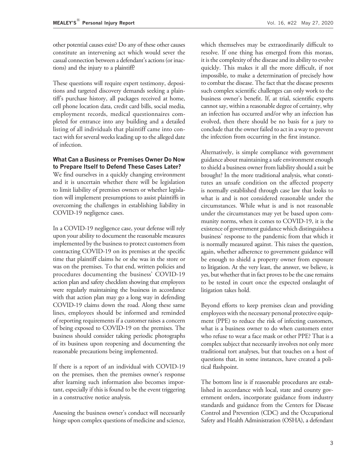other potential causes exist? Do any of these other causes constitute an intervening act which would sever the casual connection between a defendant's actions (or inactions) and the injury to a plaintiff?

These questions will require expert testimony, depositions and targeted discovery demands seeking a plaintiff's purchase history, all packages received at home, cell phone location data, credit card bills, social media, employment records, medical questionnaires completed for entrance into any building and a detailed listing of all individuals that plaintiff came into contact with for several weeks leading up to the alleged date of infection.

#### What Can a Business or Premises Owner Do Now to Prepare Itself to Defend These Cases Later?

We find ourselves in a quickly changing environment and it is uncertain whether there will be legislation to limit liability of premises owners or whether legislation will implement presumptions to assist plaintiffs in overcoming the challenges in establishing liability in COVID-19 negligence cases.

In a COVID-19 negligence case, your defense will rely upon your ability to document the reasonable measures implemented by the business to protect customers from contracting COVID-19 on its premises at the specific time that plaintiff claims he or she was in the store or was on the premises. To that end, written policies and procedures documenting the business' COVID-19 action plan and safety checklists showing that employees were regularly maintaining the business in accordance with that action plan may go a long way in defending COVID-19 claims down the road. Along these same lines, employees should be informed and reminded of reporting requirements if a customer raises a concern of being exposed to COVID-19 on the premises. The business should consider taking periodic photographs of its business upon reopening and documenting the reasonable precautions being implemented.

If there is a report of an individual with COVID-19 on the premises, then the premises owner's response after learning such information also becomes important, especially if this is found to be the event triggering in a constructive notice analysis.

Assessing the business owner's conduct will necessarily hinge upon complex questions of medicine and science,

which themselves may be extraordinarily difficult to resolve. If one thing has emerged from this morass, it is the complexity of the disease and its ability to evolve quickly. This makes it all the more difficult, if not impossible, to make a determination of precisely how to combat the disease. The fact that the disease presents such complex scientific challenges can only work to the business owner's benefit. If, at trial, scientific experts cannot say, within a reasonable degree of certainty, why an infection has occurred and/or why an infection has evolved, then there should be no basis for a jury to conclude that the owner failed to act in a way to prevent the infection from occurring in the first instance.

Alternatively, is simple compliance with government guidance about maintaining a safe environment enough to shield a business owner from liability should a suit be brought? In the more traditional analysis, what constitutes an unsafe condition on the affected property is normally established through case law that looks to what is and is not considered reasonable under the circumstances. While what is and is not reasonable under the circumstances may yet be based upon community norms, when it comes to COVID-19, it is the existence of government guidance which distinguishes a business' response to the pandemic from that which it is normally measured against. This raises the question, again, whether adherence to government guidance will be enough to shield a property owner from exposure to litigation. At the very least, the answer, we believe, is yes, but whether that in fact proves to be the case remains to be tested in court once the expected onslaught of litigation takes hold.

Beyond efforts to keep premises clean and providing employees with the necessary personal protective equipment (PPE) to reduce the risk of infecting customers, what is a business owner to do when customers enter who refuse to wear a face mask or other PPE? That is a complex subject that necessarily involves not only more traditional tort analyses, but that touches on a host of questions that, in some instances, have created a political flashpoint.

The bottom line is if reasonable procedures are established in accordance with local, state and county government orders, incorporate guidance from industry standards and guidance from the Centers for Disease Control and Prevention (CDC) and the Occupational Safety and Health Administration (OSHA), a defendant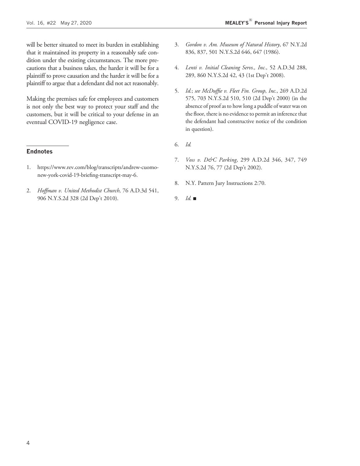will be better situated to meet its burden in establishing that it maintained its property in a reasonably safe condition under the existing circumstances. The more precautions that a business takes, the harder it will be for a plaintiff to prove causation and the harder it will be for a plaintiff to argue that a defendant did not act reasonably.

Making the premises safe for employees and customers is not only the best way to protect your staff and the customers, but it will be critical to your defense in an eventual COVID-19 negligence case.

#### **Endnotes**

- 1. [https://www.rev.com/blog/transcripts/andrew-cuomo](https://www.rev.com/blog/transcripts/andrew-cuomo-new-york-covid-19-briefing-transcript-may-6)[new-york-covid-19-briefing-transcript-may-6.](https://www.rev.com/blog/transcripts/andrew-cuomo-new-york-covid-19-briefing-transcript-may-6)
- 2. Hoffman v. United Methodist Church, 76 A.D.3d 541, 906 N.Y.S.2d 328 (2d Dep't 2010).
- 3. Gordon v. Am. Museum of Natural History, 67 N.Y.2d 836, 837, 501 N.Y.S.2d 646, 647 (1986).
- 4. Lenti v. Initial Cleaning Servs., Inc., 52 A.D.3d 288, 289, 860 N.Y.S.2d 42, 43 (1st Dep't 2008).
- 5. Id.; see McDuffie v. Fleet Fin. Group, Inc., 269 A.D.2d 575, 703 N.Y.S.2d 510, 510 (2d Dep't 2000) (in the absence of proof as to how long a puddle of water was on the floor, there is no evidence to permit an inference that the defendant had constructive notice of the condition in question).
- 6. Id.
- 7. Voss v. D&C Parking, 299 A.D.2d 346, 347, 749 N.Y.S.2d 76, 77 (2d Dep't 2002).
- 8. N.Y. Pattern Jury Instructions 2:70.
- 9. Id.  $\blacksquare$